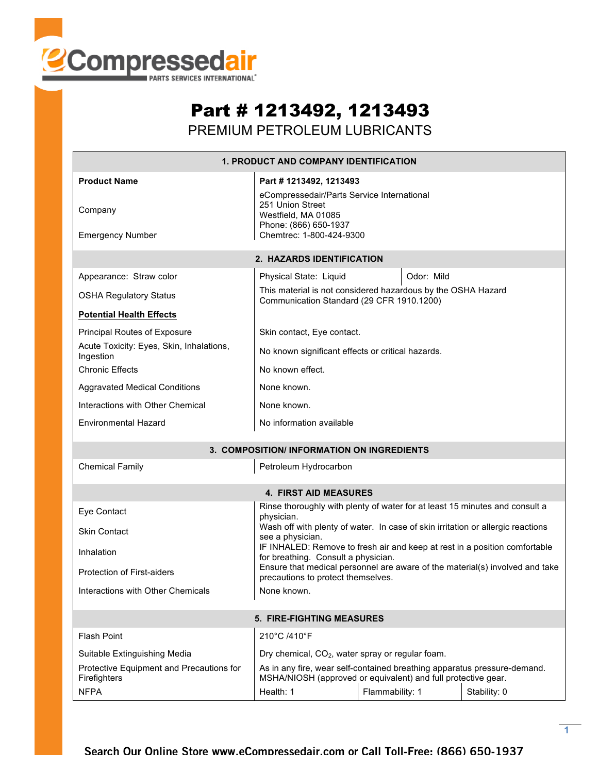

## Part # 1213492, 1213493

PREMIUM PETROLEUM LUBRICANTS

| <b>1. PRODUCT AND COMPANY IDENTIFICATION</b>              |                                                                                                                                                                       |            |  |  |  |  |  |
|-----------------------------------------------------------|-----------------------------------------------------------------------------------------------------------------------------------------------------------------------|------------|--|--|--|--|--|
| <b>Product Name</b><br>Company<br><b>Emergency Number</b> | Part # 1213492, 1213493<br>eCompressedair/Parts Service International<br>251 Union Street<br>Westfield, MA 01085<br>Phone: (866) 650-1937<br>Chemtrec: 1-800-424-9300 |            |  |  |  |  |  |
| 2. HAZARDS IDENTIFICATION                                 |                                                                                                                                                                       |            |  |  |  |  |  |
| Appearance: Straw color                                   | Physical State: Liquid                                                                                                                                                | Odor: Mild |  |  |  |  |  |
| <b>OSHA Regulatory Status</b>                             | This material is not considered hazardous by the OSHA Hazard<br>Communication Standard (29 CFR 1910.1200)                                                             |            |  |  |  |  |  |
| <b>Potential Health Effects</b>                           |                                                                                                                                                                       |            |  |  |  |  |  |
| <b>Principal Routes of Exposure</b>                       | Skin contact, Eye contact.                                                                                                                                            |            |  |  |  |  |  |
| Acute Toxicity: Eyes, Skin, Inhalations,<br>Ingestion     | No known significant effects or critical hazards.                                                                                                                     |            |  |  |  |  |  |
| <b>Chronic Effects</b>                                    | No known effect.                                                                                                                                                      |            |  |  |  |  |  |
| <b>Aggravated Medical Conditions</b>                      | None known.                                                                                                                                                           |            |  |  |  |  |  |
| Interactions with Other Chemical                          | None known.                                                                                                                                                           |            |  |  |  |  |  |
| <b>Environmental Hazard</b>                               | No information available                                                                                                                                              |            |  |  |  |  |  |
| 3. COMPOSITION/INFORMATION ON INGREDIENTS                 |                                                                                                                                                                       |            |  |  |  |  |  |
| <b>Chemical Family</b>                                    | Petroleum Hydrocarbon                                                                                                                                                 |            |  |  |  |  |  |
|                                                           | <b>4. FIRST AID MEASURES</b>                                                                                                                                          |            |  |  |  |  |  |
| Eye Contact                                               | Rinse thoroughly with plenty of water for at least 15 minutes and consult a<br>physician.                                                                             |            |  |  |  |  |  |
| <b>Skin Contact</b>                                       | Wash off with plenty of water. In case of skin irritation or allergic reactions<br>see a physician.                                                                   |            |  |  |  |  |  |
| Inhalation                                                | IF INHALED: Remove to fresh air and keep at rest in a position comfortable<br>for breathing. Consult a physician.                                                     |            |  |  |  |  |  |
| <b>Protection of First-aiders</b>                         | Ensure that medical personnel are aware of the material(s) involved and take<br>precautions to protect themselves.                                                    |            |  |  |  |  |  |
| Interactions with Other Chemicals                         | None known.                                                                                                                                                           |            |  |  |  |  |  |
| 5. FIRE-FIGHTING MEASURES                                 |                                                                                                                                                                       |            |  |  |  |  |  |
| <b>Flash Point</b>                                        | 210°C /410°F                                                                                                                                                          |            |  |  |  |  |  |
| Suitable Extinguishing Media                              | Dry chemical, CO <sub>2</sub> , water spray or regular foam.                                                                                                          |            |  |  |  |  |  |
| Protective Equipment and Precautions for<br>Firefighters  | As in any fire, wear self-contained breathing apparatus pressure-demand.<br>MSHA/NIOSH (approved or equivalent) and full protective gear.                             |            |  |  |  |  |  |
| <b>NFPA</b>                                               | Health: 1<br>Flammability: 1<br>Stability: 0                                                                                                                          |            |  |  |  |  |  |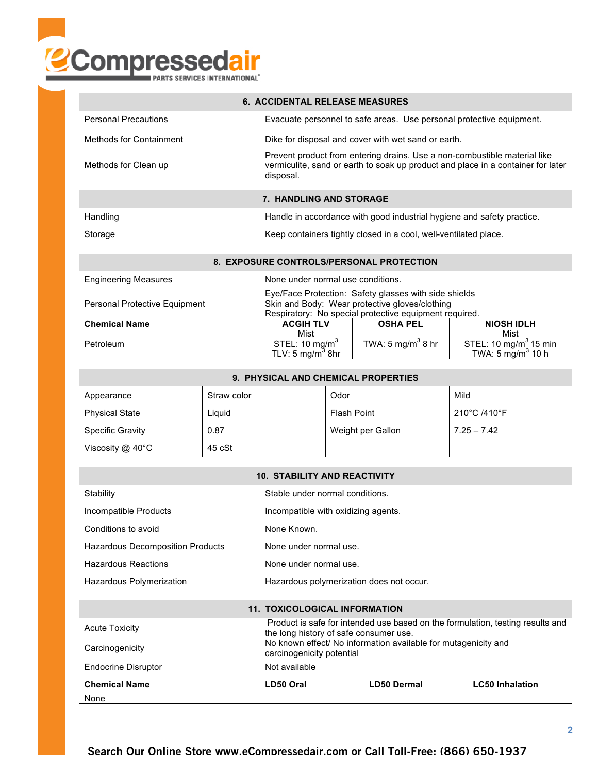

| <b>6. ACCIDENTAL RELEASE MEASURES</b>                                                                                  |                                                                                                                                                                            |                                                                      |                    |                                                                                                         |                                                                    |  |  |  |
|------------------------------------------------------------------------------------------------------------------------|----------------------------------------------------------------------------------------------------------------------------------------------------------------------------|----------------------------------------------------------------------|--------------------|---------------------------------------------------------------------------------------------------------|--------------------------------------------------------------------|--|--|--|
| <b>Personal Precautions</b>                                                                                            |                                                                                                                                                                            | Evacuate personnel to safe areas. Use personal protective equipment. |                    |                                                                                                         |                                                                    |  |  |  |
| <b>Methods for Containment</b>                                                                                         | Dike for disposal and cover with wet sand or earth.                                                                                                                        |                                                                      |                    |                                                                                                         |                                                                    |  |  |  |
| Methods for Clean up                                                                                                   | Prevent product from entering drains. Use a non-combustible material like<br>vermiculite, sand or earth to soak up product and place in a container for later<br>disposal. |                                                                      |                    |                                                                                                         |                                                                    |  |  |  |
| 7. HANDLING AND STORAGE                                                                                                |                                                                                                                                                                            |                                                                      |                    |                                                                                                         |                                                                    |  |  |  |
| Handling                                                                                                               | Handle in accordance with good industrial hygiene and safety practice.                                                                                                     |                                                                      |                    |                                                                                                         |                                                                    |  |  |  |
| Storage                                                                                                                | Keep containers tightly closed in a cool, well-ventilated place.                                                                                                           |                                                                      |                    |                                                                                                         |                                                                    |  |  |  |
| 8. EXPOSURE CONTROLS/PERSONAL PROTECTION                                                                               |                                                                                                                                                                            |                                                                      |                    |                                                                                                         |                                                                    |  |  |  |
| <b>Engineering Measures</b>                                                                                            |                                                                                                                                                                            | None under normal use conditions.                                    |                    |                                                                                                         |                                                                    |  |  |  |
| Personal Protective Equipment                                                                                          |                                                                                                                                                                            |                                                                      |                    | Eye/Face Protection: Safety glasses with side shields<br>Skin and Body: Wear protective gloves/clothing |                                                                    |  |  |  |
| <b>Chemical Name</b>                                                                                                   |                                                                                                                                                                            | <b>ACGIH TLV</b>                                                     |                    | Respiratory: No special protective equipment required.<br><b>OSHA PEL</b>                               | <b>NIOSH IDLH</b>                                                  |  |  |  |
|                                                                                                                        |                                                                                                                                                                            | Mist                                                                 |                    |                                                                                                         | Mist                                                               |  |  |  |
| Petroleum                                                                                                              |                                                                                                                                                                            | STEL: 10 mg/m $3$<br>TLV: 5 mg/m <sup>3</sup> 8hr                    |                    | TWA: 5 mg/m <sup>3</sup> 8 hr                                                                           | STEL: 10 mg/m <sup>3</sup> 15 min<br>TWA: 5 mg/m <sup>3</sup> 10 h |  |  |  |
| 9. PHYSICAL AND CHEMICAL PROPERTIES                                                                                    |                                                                                                                                                                            |                                                                      |                    |                                                                                                         |                                                                    |  |  |  |
| Appearance                                                                                                             | Straw color                                                                                                                                                                |                                                                      | Odor               |                                                                                                         | Mild                                                               |  |  |  |
| <b>Physical State</b>                                                                                                  | Liquid                                                                                                                                                                     |                                                                      | <b>Flash Point</b> |                                                                                                         | 210°C /410°F                                                       |  |  |  |
| <b>Specific Gravity</b>                                                                                                | 0.87                                                                                                                                                                       |                                                                      |                    | Weight per Gallon                                                                                       | $7.25 - 7.42$                                                      |  |  |  |
| Viscosity $@$ 40 $°C$                                                                                                  | 45 cSt                                                                                                                                                                     |                                                                      |                    |                                                                                                         |                                                                    |  |  |  |
| <b>10. STABILITY AND REACTIVITY</b>                                                                                    |                                                                                                                                                                            |                                                                      |                    |                                                                                                         |                                                                    |  |  |  |
| Stability                                                                                                              |                                                                                                                                                                            | Stable under normal conditions.                                      |                    |                                                                                                         |                                                                    |  |  |  |
| Incompatible Products                                                                                                  |                                                                                                                                                                            | Incompatible with oxidizing agents.                                  |                    |                                                                                                         |                                                                    |  |  |  |
| Conditions to avoid                                                                                                    |                                                                                                                                                                            | None Known.                                                          |                    |                                                                                                         |                                                                    |  |  |  |
| Hazardous Decomposition Products                                                                                       |                                                                                                                                                                            | None under normal use.                                               |                    |                                                                                                         |                                                                    |  |  |  |
| <b>Hazardous Reactions</b>                                                                                             |                                                                                                                                                                            | None under normal use.                                               |                    |                                                                                                         |                                                                    |  |  |  |
| Hazardous Polymerization                                                                                               |                                                                                                                                                                            | Hazardous polymerization does not occur.                             |                    |                                                                                                         |                                                                    |  |  |  |
|                                                                                                                        |                                                                                                                                                                            |                                                                      |                    |                                                                                                         |                                                                    |  |  |  |
| <b>11. TOXICOLOGICAL INFORMATION</b><br>Product is safe for intended use based on the formulation, testing results and |                                                                                                                                                                            |                                                                      |                    |                                                                                                         |                                                                    |  |  |  |
| <b>Acute Toxicity</b>                                                                                                  | the long history of safe consumer use.<br>No known effect/ No information available for mutagenicity and                                                                   |                                                                      |                    |                                                                                                         |                                                                    |  |  |  |
| Carcinogenicity                                                                                                        | carcinogenicity potential                                                                                                                                                  |                                                                      |                    |                                                                                                         |                                                                    |  |  |  |
| <b>Endocrine Disruptor</b>                                                                                             | Not available                                                                                                                                                              |                                                                      |                    |                                                                                                         |                                                                    |  |  |  |
| <b>Chemical Name</b><br>None                                                                                           | LD50 Oral                                                                                                                                                                  |                                                                      | <b>LD50 Dermal</b> | <b>LC50 Inhalation</b>                                                                                  |                                                                    |  |  |  |